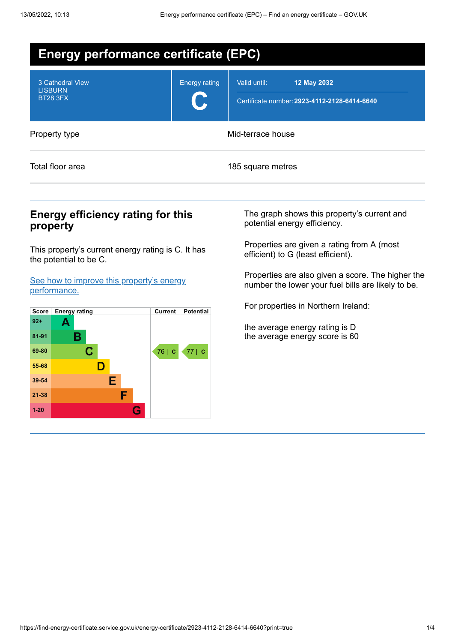| <b>Energy performance certificate (EPC)</b>           |                      |                                                                             |  |  |
|-------------------------------------------------------|----------------------|-----------------------------------------------------------------------------|--|--|
| 3 Cathedral View<br><b>LISBURN</b><br><b>BT28 3FX</b> | <b>Energy rating</b> | Valid until:<br>12 May 2032<br>Certificate number: 2923-4112-2128-6414-6640 |  |  |
| Property type                                         | Mid-terrace house    |                                                                             |  |  |
| Total floor area                                      |                      | 185 square metres                                                           |  |  |

## **Energy efficiency rating for this property**

This property's current energy rating is C. It has the potential to be C.

See how to improve this property's energy [performance.](#page-2-0)



The graph shows this property's current and potential energy efficiency.

Properties are given a rating from A (most efficient) to G (least efficient).

Properties are also given a score. The higher the number the lower your fuel bills are likely to be.

For properties in Northern Ireland:

the average energy rating is D the average energy score is 60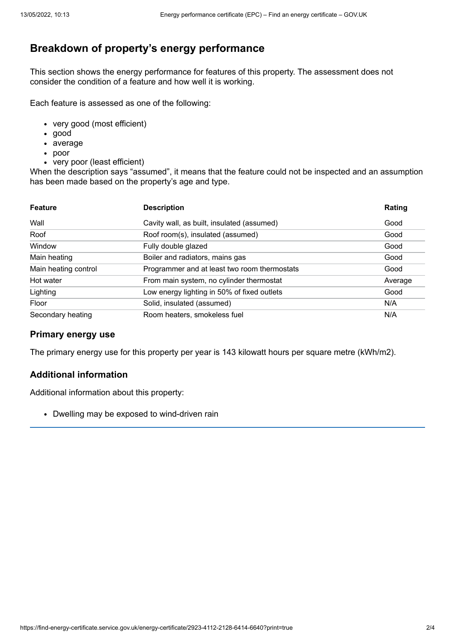# **Breakdown of property's energy performance**

This section shows the energy performance for features of this property. The assessment does not consider the condition of a feature and how well it is working.

Each feature is assessed as one of the following:

- very good (most efficient)
- good
- average
- poor
- very poor (least efficient)

When the description says "assumed", it means that the feature could not be inspected and an assumption has been made based on the property's age and type.

| <b>Feature</b>       | <b>Description</b>                           | Rating  |
|----------------------|----------------------------------------------|---------|
| Wall                 | Cavity wall, as built, insulated (assumed)   | Good    |
| Roof                 | Roof room(s), insulated (assumed)            | Good    |
| Window               | Fully double glazed                          | Good    |
| Main heating         | Boiler and radiators, mains gas              | Good    |
| Main heating control | Programmer and at least two room thermostats | Good    |
| Hot water            | From main system, no cylinder thermostat     | Average |
| Lighting             | Low energy lighting in 50% of fixed outlets  | Good    |
| Floor                | Solid, insulated (assumed)                   | N/A     |
| Secondary heating    | Room heaters, smokeless fuel                 | N/A     |

#### **Primary energy use**

The primary energy use for this property per year is 143 kilowatt hours per square metre (kWh/m2).

### **Additional information**

Additional information about this property:

• Dwelling may be exposed to wind-driven rain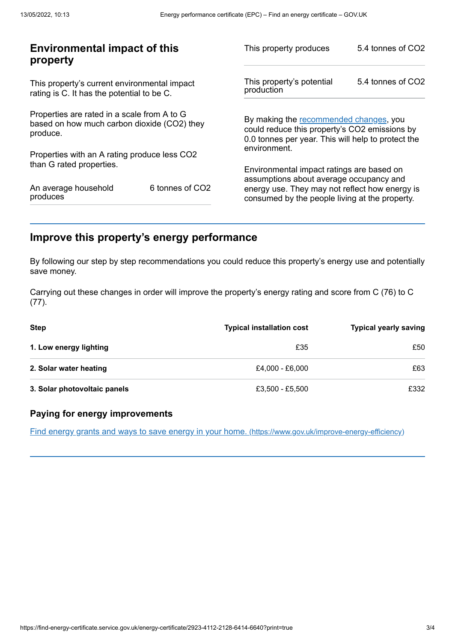| 5.4 tonnes of CO2<br>This property's potential<br>production                                                                                  |  |
|-----------------------------------------------------------------------------------------------------------------------------------------------|--|
|                                                                                                                                               |  |
| By making the recommended changes, you<br>could reduce this property's CO2 emissions by<br>0.0 tonnes per year. This will help to protect the |  |
| environment.                                                                                                                                  |  |
| Environmental impact ratings are based on<br>assumptions about average occupancy and                                                          |  |
| energy use. They may not reflect how energy is<br>consumed by the people living at the property.                                              |  |
|                                                                                                                                               |  |

# <span id="page-2-0"></span>**Improve this property's energy performance**

By following our step by step recommendations you could reduce this property's energy use and potentially save money.

Carrying out these changes in order will improve the property's energy rating and score from C (76) to C (77).

| <b>Step</b>                  | <b>Typical installation cost</b> | <b>Typical yearly saving</b> |
|------------------------------|----------------------------------|------------------------------|
| 1. Low energy lighting       | £35                              | £50                          |
| 2. Solar water heating       | £4,000 - £6,000                  | £63                          |
| 3. Solar photovoltaic panels | £3,500 - £5,500                  | £332                         |

### **Paying for energy improvements**

Find energy grants and ways to save energy in your home. [\(https://www.gov.uk/improve-energy-efficiency\)](https://www.gov.uk/improve-energy-efficiency)